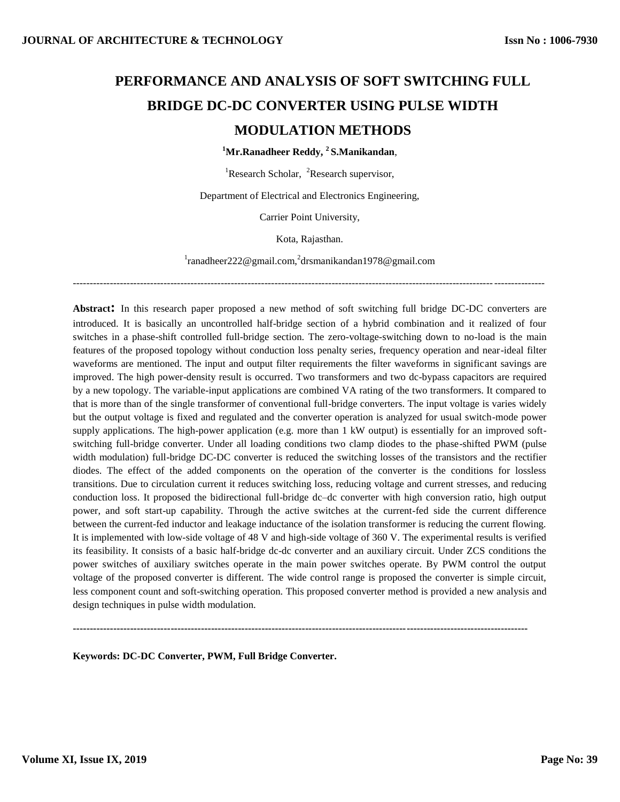# **PERFORMANCE AND ANALYSIS OF SOFT SWITCHING FULL BRIDGE DC-DC CONVERTER USING PULSE WIDTH MODULATION METHODS**

# **<sup>1</sup>Mr.Ranadheer Reddy, <sup>2</sup>S.Manikandan**,

<sup>1</sup>Research Scholar, <sup>2</sup>Research supervisor,

Department of Electrical and Electronics Engineering,

Carrier Point University,

Kota, Rajasthan.

<sup>1</sup>ranadheer222@gmail.com,<sup>2</sup>drsmanikandan1978@gmail.com

--------------------------------------------------------------------------------------------------------------------------------------------

**Abstract:** In this research paper proposed a new method of soft switching full bridge DC-DC converters are introduced. It is basically an uncontrolled half-bridge section of a hybrid combination and it realized of four switches in a phase-shift controlled full-bridge section. The zero-voltage-switching down to no-load is the main features of the proposed topology without conduction loss penalty series, frequency operation and near-ideal filter waveforms are mentioned. The input and output filter requirements the filter waveforms in significant savings are improved. The high power-density result is occurred. Two transformers and two dc-bypass capacitors are required by a new topology. The variable-input applications are combined VA rating of the two transformers. It compared to that is more than of the single transformer of conventional full-bridge converters. The input voltage is varies widely but the output voltage is fixed and regulated and the converter operation is analyzed for usual switch-mode power supply applications. The high-power application (e.g. more than 1 kW output) is essentially for an improved softswitching full-bridge converter. Under all loading conditions two clamp diodes to the phase-shifted PWM (pulse width modulation) full-bridge DC-DC converter is reduced the switching losses of the transistors and the rectifier diodes. The effect of the added components on the operation of the converter is the conditions for lossless transitions. Due to circulation current it reduces switching loss, reducing voltage and current stresses, and reducing conduction loss. It proposed the bidirectional full-bridge dc–dc converter with high conversion ratio, high output power, and soft start-up capability. Through the active switches at the current-fed side the current difference between the current-fed inductor and leakage inductance of the isolation transformer is reducing the current flowing. It is implemented with low-side voltage of 48 V and high-side voltage of 360 V. The experimental results is verified its feasibility. It consists of a basic half-bridge dc-dc converter and an auxiliary circuit. Under ZCS conditions the power switches of auxiliary switches operate in the main power switches operate. By PWM control the output voltage of the proposed converter is different. The wide control range is proposed the converter is simple circuit, less component count and soft-switching operation. This proposed converter method is provided a new analysis and design techniques in pulse width modulation.

**---------------------------------------------------------------------------------------------------------------------------------------**

**Keywords: DC-DC Converter, PWM, Full Bridge Converter.**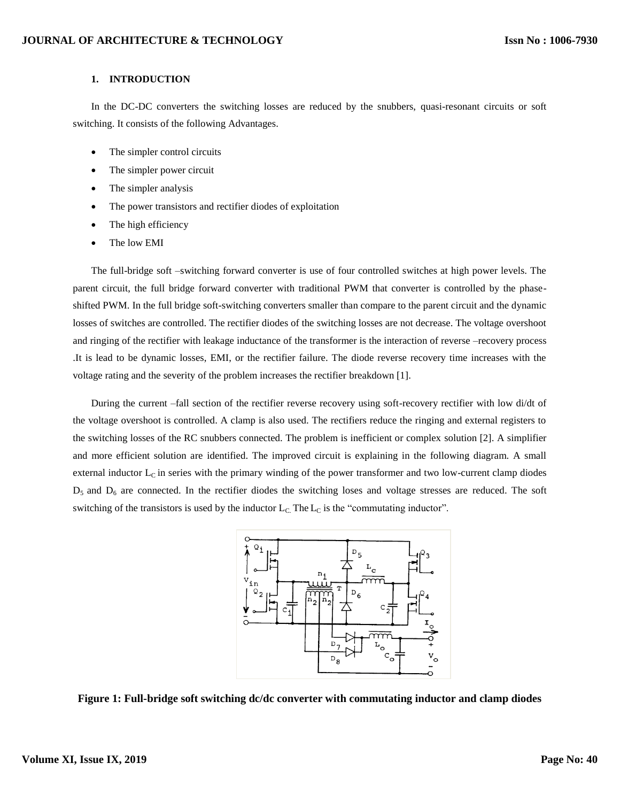## **1. INTRODUCTION**

In the DC-DC converters the switching losses are reduced by the snubbers, quasi-resonant circuits or soft switching. It consists of the following Advantages.

- The simpler control circuits
- The simpler power circuit
- The simpler analysis
- The power transistors and rectifier diodes of exploitation
- The high efficiency
- The low EMI

The full-bridge soft –switching forward converter is use of four controlled switches at high power levels. The parent circuit, the full bridge forward converter with traditional PWM that converter is controlled by the phaseshifted PWM. In the full bridge soft-switching converters smaller than compare to the parent circuit and the dynamic losses of switches are controlled. The rectifier diodes of the switching losses are not decrease. The voltage overshoot and ringing of the rectifier with leakage inductance of the transformer is the interaction of reverse –recovery process .It is lead to be dynamic losses, EMI, or the rectifier failure. The diode reverse recovery time increases with the voltage rating and the severity of the problem increases the rectifier breakdown [1].

During the current –fall section of the rectifier reverse recovery using soft-recovery rectifier with low di/dt of the voltage overshoot is controlled. A clamp is also used. The rectifiers reduce the ringing and external registers to the switching losses of the RC snubbers connected. The problem is inefficient or complex solution [2]. A simplifier and more efficient solution are identified. The improved circuit is explaining in the following diagram. A small external inductor  $L_c$  in series with the primary winding of the power transformer and two low-current clamp diodes  $D_5$  and  $D_6$  are connected. In the rectifier diodes the switching loses and voltage stresses are reduced. The soft switching of the transistors is used by the inductor  $L_c$ . The  $L_c$  is the "commutating inductor".



**Figure 1: Full-bridge soft switching dc/dc converter with commutating inductor and clamp diodes**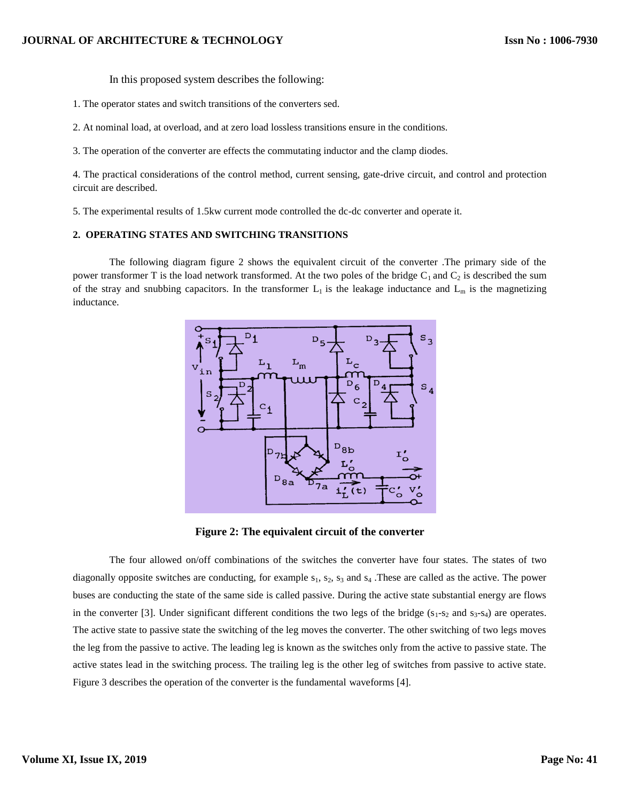In this proposed system describes the following:

1. The operator states and switch transitions of the converters sed.

2. At nominal load, at overload, and at zero load lossless transitions ensure in the conditions.

3. The operation of the converter are effects the commutating inductor and the clamp diodes.

4. The practical considerations of the control method, current sensing, gate-drive circuit, and control and protection circuit are described.

5. The experimental results of 1.5kw current mode controlled the dc-dc converter and operate it.

#### **2. OPERATING STATES AND SWITCHING TRANSITIONS**

The following diagram figure 2 shows the equivalent circuit of the converter .The primary side of the power transformer T is the load network transformed. At the two poles of the bridge  $C_1$  and  $C_2$  is described the sum of the stray and snubbing capacitors. In the transformer  $L_1$  is the leakage inductance and  $L_m$  is the magnetizing inductance.



**Figure 2: The equivalent circuit of the converter**

The four allowed on/off combinations of the switches the converter have four states. The states of two diagonally opposite switches are conducting, for example  $s_1$ ,  $s_2$ ,  $s_3$  and  $s_4$ . These are called as the active. The power buses are conducting the state of the same side is called passive. During the active state substantial energy are flows in the converter [3]. Under significant different conditions the two legs of the bridge  $(s_1-s_2 \text{ and } s_3-s_4)$  are operates. The active state to passive state the switching of the leg moves the converter. The other switching of two legs moves the leg from the passive to active. The leading leg is known as the switches only from the active to passive state. The active states lead in the switching process. The trailing leg is the other leg of switches from passive to active state. Figure 3 describes the operation of the converter is the fundamental waveforms [4].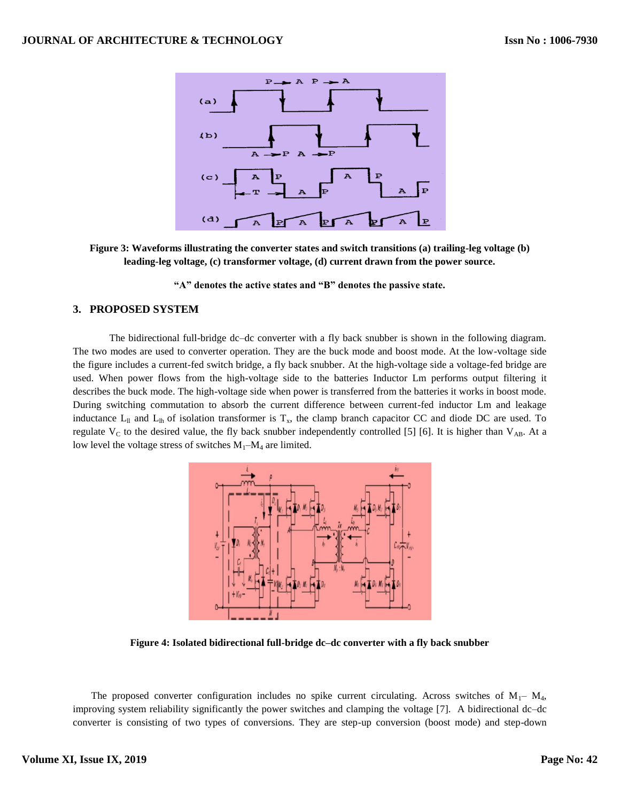

**Figure 3: Waveforms illustrating the converter states and switch transitions (a) trailing-leg voltage (b) leading-leg voltage, (c) transformer voltage, (d) current drawn from the power source.**

**"A" denotes the active states and "B" denotes the passive state.**

#### **3. PROPOSED SYSTEM**

The bidirectional full-bridge dc–dc converter with a fly back snubber is shown in the following diagram. The two modes are used to converter operation. They are the buck mode and boost mode. At the low-voltage side the figure includes a current-fed switch bridge, a fly back snubber. At the high-voltage side a voltage-fed bridge are used. When power flows from the high-voltage side to the batteries Inductor Lm performs output filtering it describes the buck mode. The high-voltage side when power is transferred from the batteries it works in boost mode. During switching commutation to absorb the current difference between current-fed inductor Lm and leakage inductance  $L_{\text{ll}}$  and  $L_{\text{lh}}$  of isolation transformer is  $T_x$ , the clamp branch capacitor CC and diode DC are used. To regulate  $V_C$  to the desired value, the fly back snubber independently controlled [5] [6]. It is higher than  $V_{AB}$ . At a low level the voltage stress of switches  $M_1-M_4$  are limited.



**Figure 4: Isolated bidirectional full-bridge dc–dc converter with a fly back snubber**

The proposed converter configuration includes no spike current circulating. Across switches of  $M_1$ –  $M_4$ , improving system reliability significantly the power switches and clamping the voltage [7]. A bidirectional dc–dc converter is consisting of two types of conversions. They are step-up conversion (boost mode) and step-down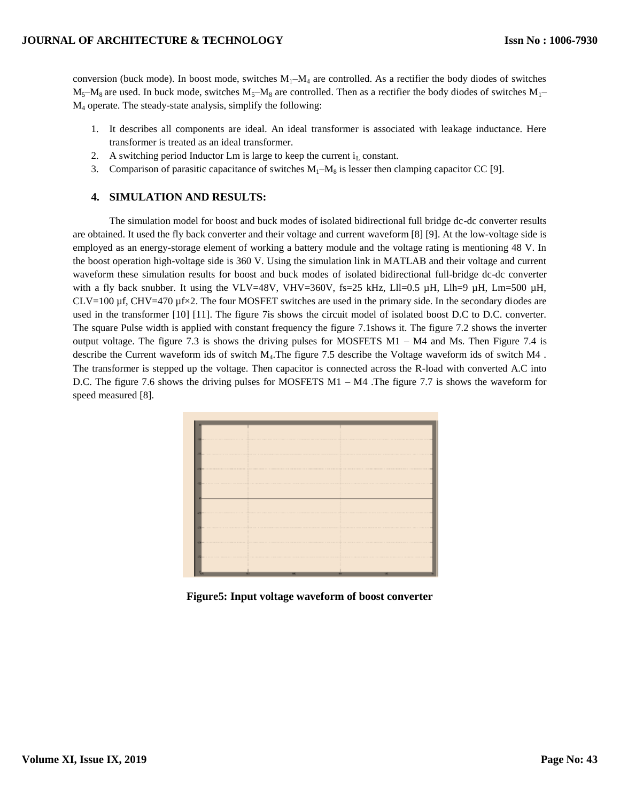conversion (buck mode). In boost mode, switches  $M_1$ – $M_4$  are controlled. As a rectifier the body diodes of switches  $M_5$ – $M_8$  are used. In buck mode, switches  $M_5$ – $M_8$  are controlled. Then as a rectifier the body diodes of switches  $M_1$ – M<sup>4</sup> operate. The steady-state analysis, simplify the following:

- 1. It describes all components are ideal. An ideal transformer is associated with leakage inductance. Here transformer is treated as an ideal transformer.
- 2. A switching period Inductor Lm is large to keep the current  $i<sub>L</sub>$  constant.
- 3. Comparison of parasitic capacitance of switches  $M_1-M_8$  is lesser then clamping capacitor CC [9].

## **4. SIMULATION AND RESULTS:**

The simulation model for boost and buck modes of isolated bidirectional full bridge dc-dc converter results are obtained. It used the fly back converter and their voltage and current waveform [8] [9]. At the low-voltage side is employed as an energy-storage element of working a battery module and the voltage rating is mentioning 48 V. In the boost operation high-voltage side is 360 V. Using the simulation link in MATLAB and their voltage and current waveform these simulation results for boost and buck modes of isolated bidirectional full-bridge dc-dc converter with a fly back snubber. It using the VLV=48V, VHV=360V, fs=25 kHz, Lll=0.5  $\mu$ H, Llh=9  $\mu$ H, Lm=500  $\mu$ H, CLV=100  $\mu$ f, CHV=470  $\mu$ f $\times$ 2. The four MOSFET switches are used in the primary side. In the secondary diodes are used in the transformer [10] [11]. The figure 7is shows the circuit model of isolated boost D.C to D.C. converter. The square Pulse width is applied with constant frequency the figure 7.1shows it. The figure 7.2 shows the inverter output voltage. The figure 7.3 is shows the driving pulses for MOSFETS  $M1 - M4$  and Ms. Then Figure 7.4 is describe the Current waveform ids of switch M4.The figure 7.5 describe the Voltage waveform ids of switch M4 . The transformer is stepped up the voltage. Then capacitor is connected across the R-load with converted A.C into D.C. The figure 7.6 shows the driving pulses for MOSFETS M1 – M4 .The figure 7.7 is shows the waveform for speed measured [8].



**Figure5: Input voltage waveform of boost converter**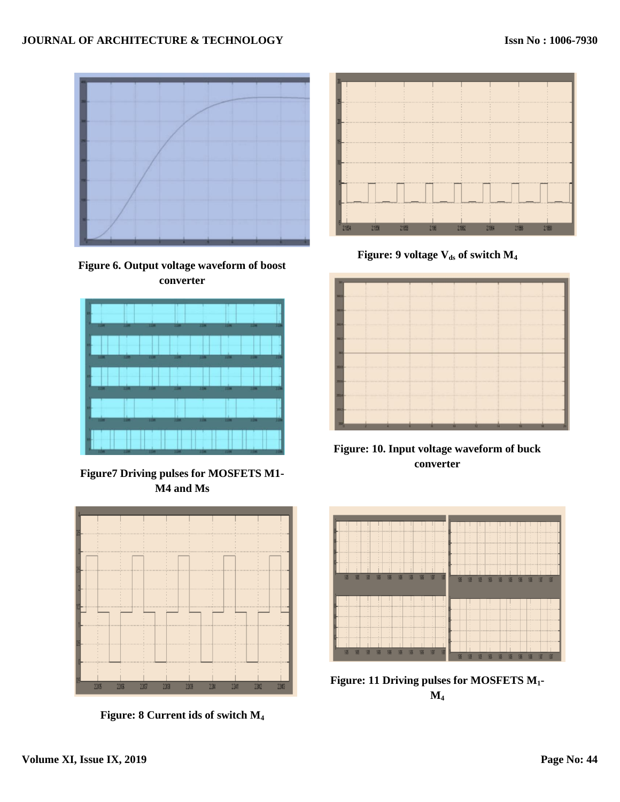

**Figure 6. Output voltage waveform of boost converter**



**Figure7 Driving pulses for MOSFETS M1- M4 and Ms**



**Figure: 8 Current ids of switch M<sup>4</sup>**



**Figure: 9 voltage Vds of switch M<sup>4</sup>**



**Figure: 10. Input voltage waveform of buck converter**



**Figure: 11 Driving pulses for MOSFETS M1- M<sup>4</sup>**